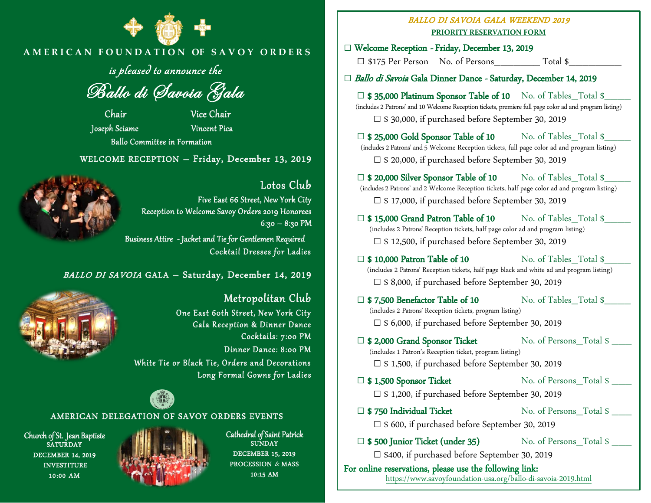

## **A M E R I C A N F O U N D A T I O N OF S A V O Y O R D E R S**

is pleased to announce the

Ballo di Savoia Gala

 Chair Vice Chair Joseph Sciame Vincent Pica Ballo Committee in Formation

WELCOME RECEPTION – Friday, December 13, 2019



Lotos Club Five East 66 Street, New York City Reception to Welcome Savoy Orders 2019 Honorees  $6:30 - 8:30$  PM Business Attire - Jacket and Tie for Gentlemen Required

Cocktail Dresses for Ladies

BALLO DI SAVOIA GALA – Saturday, December 14, 2019



 Metropolitan Club One East 60th Street, New York City Gala Reception & Dinner Dance Cocktails: 7:00 PM Dinner Dance: 8:00 PM White Tie or Black Tie, Orders and Decorations Long Formal Gowns for Ladies



### AMERICAN DELEGATION OF SAVOY ORDERS EVENTS

Church of St. Jean Baptiste **SATURDAY** DECEMBER 14, 2019 **INVESTITURE** 10:00 AM



Cathedral of Saint Patrick **SUNDAY** DECEMBER 15, 2019 PROCESSION & MASS 10:15 AM

### BALLO DI SAVOIA GALA WEEKEND 2019 **PRIORITY RESERVATION FORM**

**□** Welcome Reception - Friday, December 13, 2019 □ \$175 Per Person No. of Persons Total \$ **□** Ballo di Savoia Gala Dinner Dance - Saturday, December 14, 2019 □ **\$ 35,000 Platinum Sponsor Table of 10** No. of Tables\_Total \$ (includes 2 Patrons' and 10 Welcome Reception tickets, premiere full page color ad and program listing) □ \$ 30,000, if purchased before September 30, 2019 □ **\$ 25,000 Gold Sponsor Table of 10** No. of Tables\_Total \$ (includes 2 Patrons' and 5 Welcome Reception tickets, full page color ad and program listing) **□** \$ 20,000, if purchased before September 30, 2019 □ **\$ 20,000 Silver Sponsor Table of 10** No. of Tables\_Total \$ (includes 2 Patrons' and2 Welcome Reception tickets, half page color ad and program listing)  **□** \$ 17,000, if purchased before September 30, 2019 □ **\$ 15,000 Grand Patron Table of 10** No. of Tables Total \$ (includes 2 Patrons' Reception tickets, half page color ad and program listing)  **□** \$ 12,500, if purchased before September 30, 2019 □ **\$ 10,000 Patron Table of 10** No. of Tables Total \$ (includes 2 Patrons' Reception tickets, half page black and white ad and program listing) **□** \$ 8,000, if purchased before September 30, 2019 □ **\$ 7,500 Benefactor Table of 10** No. of Tables Total \$ (includes 2 Patrons' Reception tickets, program listing) **□** \$ 6,000, if purchased before September 30, 2019 □ **\$ 2,000 Grand Sponsor Ticket** No. of Persons\_Total \$ (includes 1 Patron's Reception ticket, program listing) **□** \$ 1,500, if purchased before September 30, 2019 □ **\$ 1,500 Sponsor Ticket** No. of Persons\_Total \$ \_\_\_  **□** \$ 1,200, if purchased before September 30, 2019 □ **\$ 750 Individual Ticket** No. of Persons Total \$  **□** \$ 600, if purchased before September 30, 2019 □ **\$ 500 Junior Ticket (under 35)** No. of Persons Total \$

 **□** \$400, if purchased before September 30, 2019

For online reservations, please use the following link: <https://www.savoyfoundation-usa.org/ballo-di-savoia-2019.html>

 $\overline{a}$